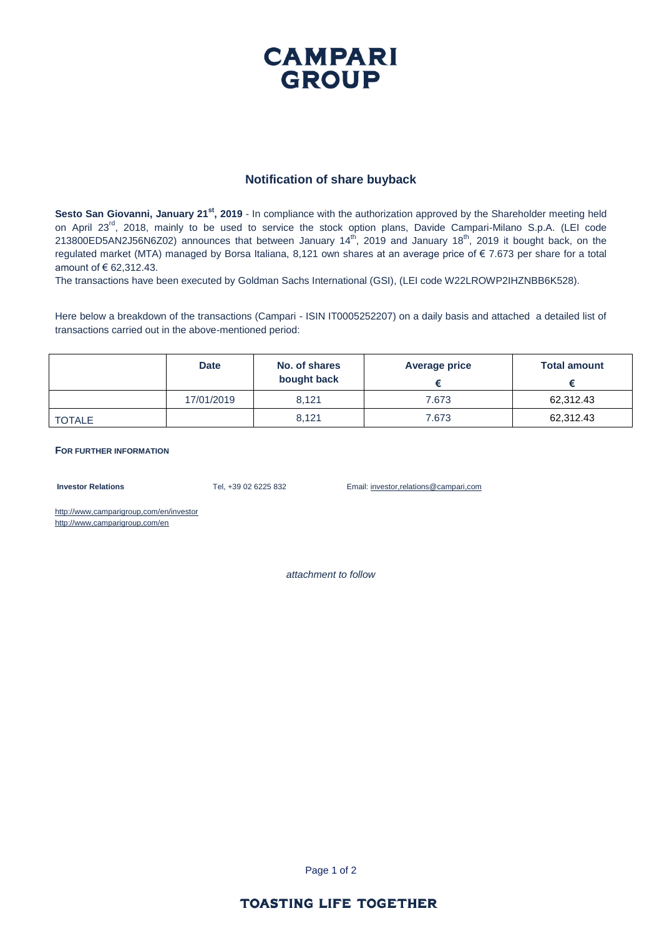## **CAMPARI GROUP**

#### **Notification of share buyback**

**Sesto San Giovanni, January 21st, 2019** - In compliance with the authorization approved by the Shareholder meeting held on April 23<sup>rd</sup>, 2018, mainly to be used to service the stock option plans, Davide Campari-Milano S.p.A. (LEI code 213800ED5AN2J56N6Z02) announces that between January 14<sup>th</sup>, 2019 and January 18<sup>th</sup>, 2019 it bought back, on the regulated market (MTA) managed by Borsa Italiana, 8,121 own shares at an average price of € 7.673 per share for a total amount of € 62,312.43.

The transactions have been executed by Goldman Sachs International (GSI), (LEI code W22LROWP2IHZNBB6K528).

Here below a breakdown of the transactions (Campari - ISIN IT0005252207) on a daily basis and attached a detailed list of transactions carried out in the above-mentioned period:

|               | <b>Date</b> | No. of shares<br>bought back | Average price | <b>Total amount</b> |
|---------------|-------------|------------------------------|---------------|---------------------|
|               | 17/01/2019  | 8.121                        | 7.673         | 62,312.43           |
| <b>TOTALE</b> |             | 8.121                        | 7.673         | 62,312.43           |

#### **FOR FURTHER INFORMATION**

**Investor Relations** Tel, +39 02 6225 832 Email: investor,relations@campari,com

http://www,camparigroup,com/en/investor http://www,camparigroup,com/en

*attachment to follow*

Page 1 of 2

#### **TOASTING LIFE TOGETHER**